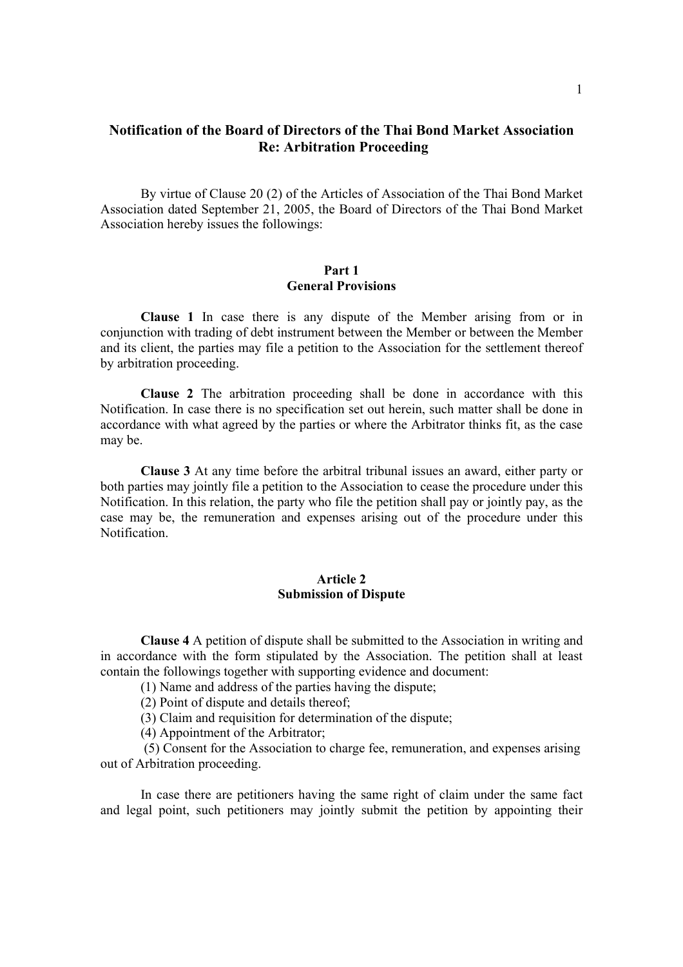# **Notification of the Board of Directors of the Thai Bond Market Association Re: Arbitration Proceeding**

By virtue of Clause 20 (2) of the Articles of Association of the Thai Bond Market Association dated September 21, 2005, the Board of Directors of the Thai Bond Market Association hereby issues the followings:

### **Part 1 General Provisions**

**Clause 1** In case there is any dispute of the Member arising from or in conjunction with trading of debt instrument between the Member or between the Member and its client, the parties may file a petition to the Association for the settlement thereof by arbitration proceeding.

**Clause 2** The arbitration proceeding shall be done in accordance with this Notification. In case there is no specification set out herein, such matter shall be done in accordance with what agreed by the parties or where the Arbitrator thinks fit, as the case may be.

 **Clause 3** At any time before the arbitral tribunal issues an award, either party or both parties may jointly file a petition to the Association to cease the procedure under this Notification. In this relation, the party who file the petition shall pay or jointly pay, as the case may be, the remuneration and expenses arising out of the procedure under this Notification.

### **Article 2 Submission of Dispute**

 **Clause 4** A petition of dispute shall be submitted to the Association in writing and in accordance with the form stipulated by the Association. The petition shall at least contain the followings together with supporting evidence and document:

(1) Name and address of the parties having the dispute;

(2) Point of dispute and details thereof;

(3) Claim and requisition for determination of the dispute;

(4) Appointment of the Arbitrator;

 (5) Consent for the Association to charge fee, remuneration, and expenses arising out of Arbitration proceeding.

 In case there are petitioners having the same right of claim under the same fact and legal point, such petitioners may jointly submit the petition by appointing their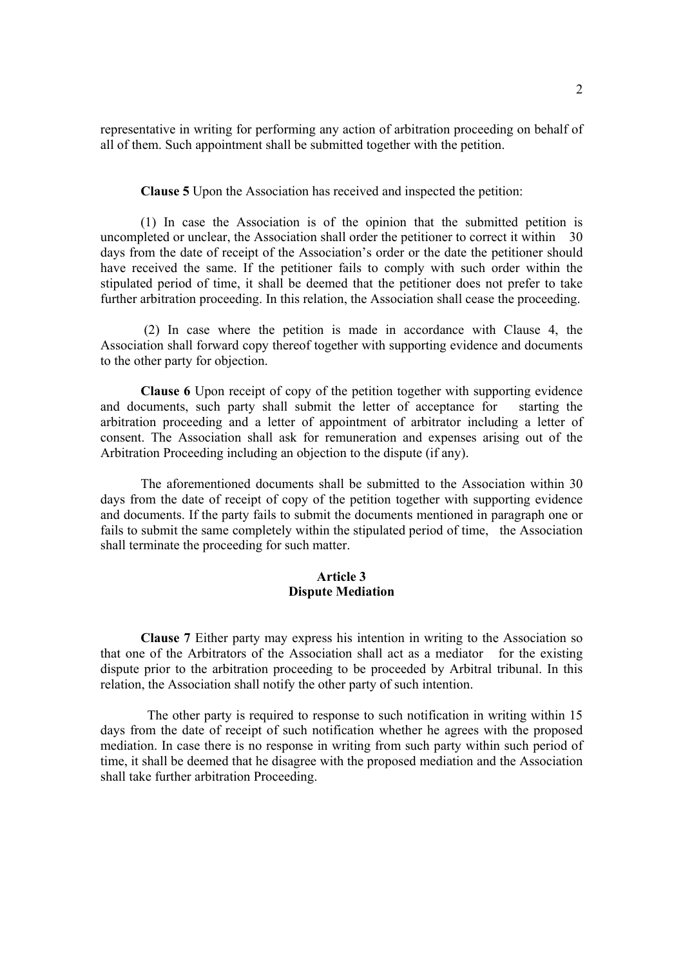representative in writing for performing any action of arbitration proceeding on behalf of all of them. Such appointment shall be submitted together with the petition.

 **Clause 5** Upon the Association has received and inspected the petition:

 (1) In case the Association is of the opinion that the submitted petition is uncompleted or unclear, the Association shall order the petitioner to correct it within 30 days from the date of receipt of the Association's order or the date the petitioner should have received the same. If the petitioner fails to comply with such order within the stipulated period of time, it shall be deemed that the petitioner does not prefer to take further arbitration proceeding. In this relation, the Association shall cease the proceeding.

 (2) In case where the petition is made in accordance with Clause 4, the Association shall forward copy thereof together with supporting evidence and documents to the other party for objection.

 **Clause 6** Upon receipt of copy of the petition together with supporting evidence and documents, such party shall submit the letter of acceptance for starting the arbitration proceeding and a letter of appointment of arbitrator including a letter of consent. The Association shall ask for remuneration and expenses arising out of the Arbitration Proceeding including an objection to the dispute (if any).

 The aforementioned documents shall be submitted to the Association within 30 days from the date of receipt of copy of the petition together with supporting evidence and documents. If the party fails to submit the documents mentioned in paragraph one or fails to submit the same completely within the stipulated period of time, the Association shall terminate the proceeding for such matter.

#### **Article 3 Dispute Mediation**

 **Clause 7** Either party may express his intention in writing to the Association so that one of the Arbitrators of the Association shall act as a mediator for the existing dispute prior to the arbitration proceeding to be proceeded by Arbitral tribunal. In this relation, the Association shall notify the other party of such intention.

 The other party is required to response to such notification in writing within 15 days from the date of receipt of such notification whether he agrees with the proposed mediation. In case there is no response in writing from such party within such period of time, it shall be deemed that he disagree with the proposed mediation and the Association shall take further arbitration Proceeding.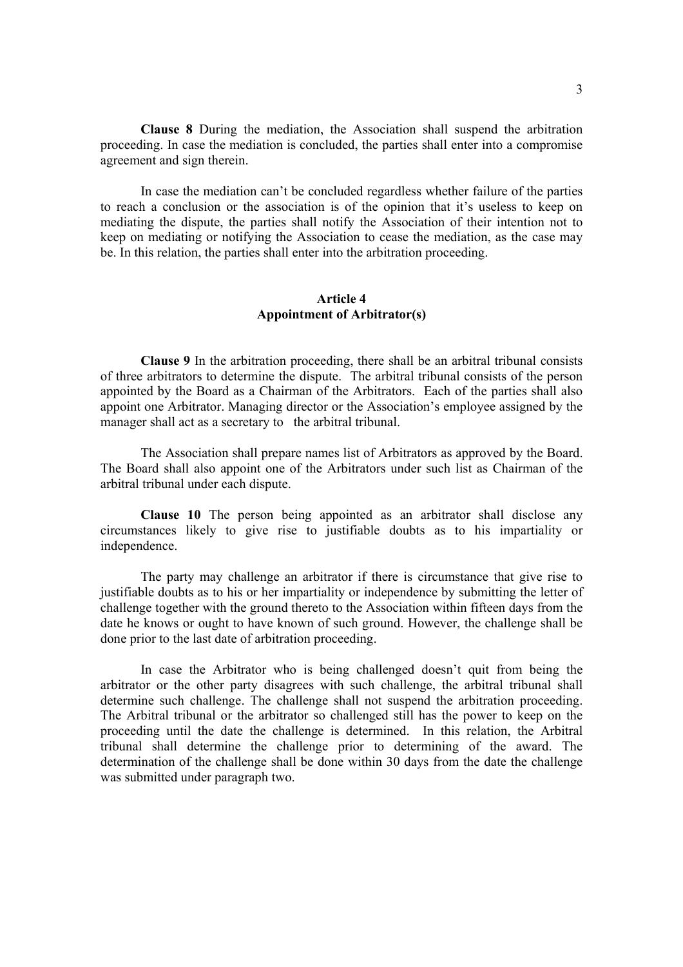**Clause 8** During the mediation, the Association shall suspend the arbitration proceeding. In case the mediation is concluded, the parties shall enter into a compromise agreement and sign therein.

 In case the mediation can't be concluded regardless whether failure of the parties to reach a conclusion or the association is of the opinion that it's useless to keep on mediating the dispute, the parties shall notify the Association of their intention not to keep on mediating or notifying the Association to cease the mediation, as the case may be. In this relation, the parties shall enter into the arbitration proceeding.

# **Article 4 Appointment of Arbitrator(s)**

 **Clause 9** In the arbitration proceeding, there shall be an arbitral tribunal consists of three arbitrators to determine the dispute. The arbitral tribunal consists of the person appointed by the Board as a Chairman of the Arbitrators. Each of the parties shall also appoint one Arbitrator. Managing director or the Association's employee assigned by the manager shall act as a secretary to the arbitral tribunal.

 The Association shall prepare names list of Arbitrators as approved by the Board. The Board shall also appoint one of the Arbitrators under such list as Chairman of the arbitral tribunal under each dispute.

 **Clause 10** The person being appointed as an arbitrator shall disclose any circumstances likely to give rise to justifiable doubts as to his impartiality or independence.

The party may challenge an arbitrator if there is circumstance that give rise to justifiable doubts as to his or her impartiality or independence by submitting the letter of challenge together with the ground thereto to the Association within fifteen days from the date he knows or ought to have known of such ground. However, the challenge shall be done prior to the last date of arbitration proceeding.

In case the Arbitrator who is being challenged doesn't quit from being the arbitrator or the other party disagrees with such challenge, the arbitral tribunal shall determine such challenge. The challenge shall not suspend the arbitration proceeding. The Arbitral tribunal or the arbitrator so challenged still has the power to keep on the proceeding until the date the challenge is determined. In this relation, the Arbitral tribunal shall determine the challenge prior to determining of the award. The determination of the challenge shall be done within 30 days from the date the challenge was submitted under paragraph two.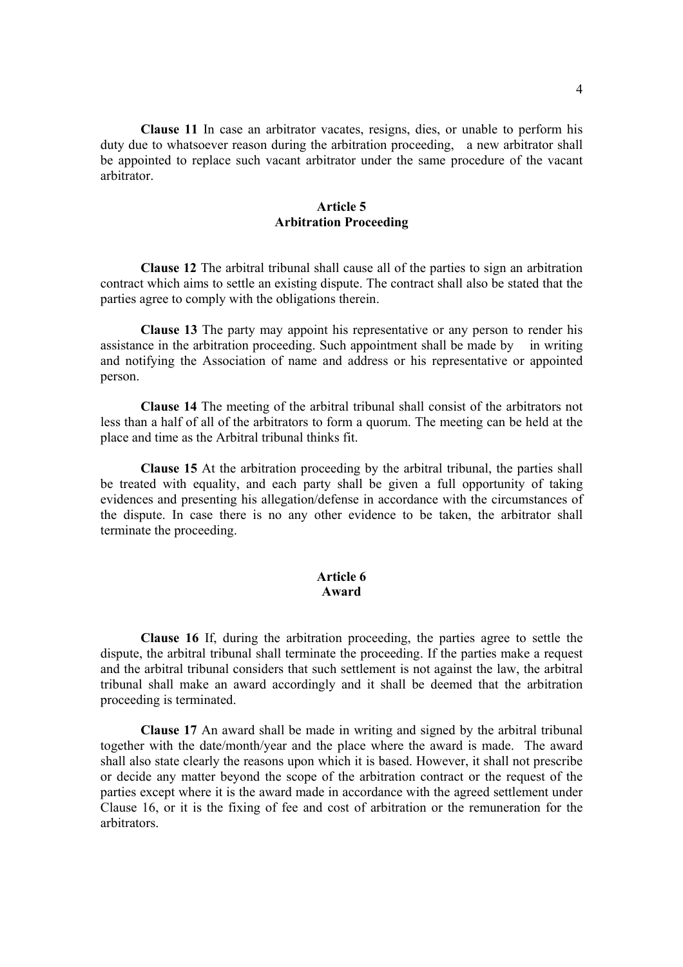**Clause 11** In case an arbitrator vacates, resigns, dies, or unable to perform his duty due to whatsoever reason during the arbitration proceeding, a new arbitrator shall be appointed to replace such vacant arbitrator under the same procedure of the vacant arbitrator.

# **Article 5 Arbitration Proceeding**

**Clause 12** The arbitral tribunal shall cause all of the parties to sign an arbitration contract which aims to settle an existing dispute. The contract shall also be stated that the parties agree to comply with the obligations therein.

**Clause 13** The party may appoint his representative or any person to render his assistance in the arbitration proceeding. Such appointment shall be made by in writing and notifying the Association of name and address or his representative or appointed person.

 **Clause 14** The meeting of the arbitral tribunal shall consist of the arbitrators not less than a half of all of the arbitrators to form a quorum. The meeting can be held at the place and time as the Arbitral tribunal thinks fit.

 **Clause 15** At the arbitration proceeding by the arbitral tribunal, the parties shall be treated with equality, and each party shall be given a full opportunity of taking evidences and presenting his allegation/defense in accordance with the circumstances of the dispute. In case there is no any other evidence to be taken, the arbitrator shall terminate the proceeding.

### **Article 6 Award**

 **Clause 16** If, during the arbitration proceeding, the parties agree to settle the dispute, the arbitral tribunal shall terminate the proceeding. If the parties make a request and the arbitral tribunal considers that such settlement is not against the law, the arbitral tribunal shall make an award accordingly and it shall be deemed that the arbitration proceeding is terminated.

 **Clause 17** An award shall be made in writing and signed by the arbitral tribunal together with the date/month/year and the place where the award is made. The award shall also state clearly the reasons upon which it is based. However, it shall not prescribe or decide any matter beyond the scope of the arbitration contract or the request of the parties except where it is the award made in accordance with the agreed settlement under Clause 16, or it is the fixing of fee and cost of arbitration or the remuneration for the arbitrators.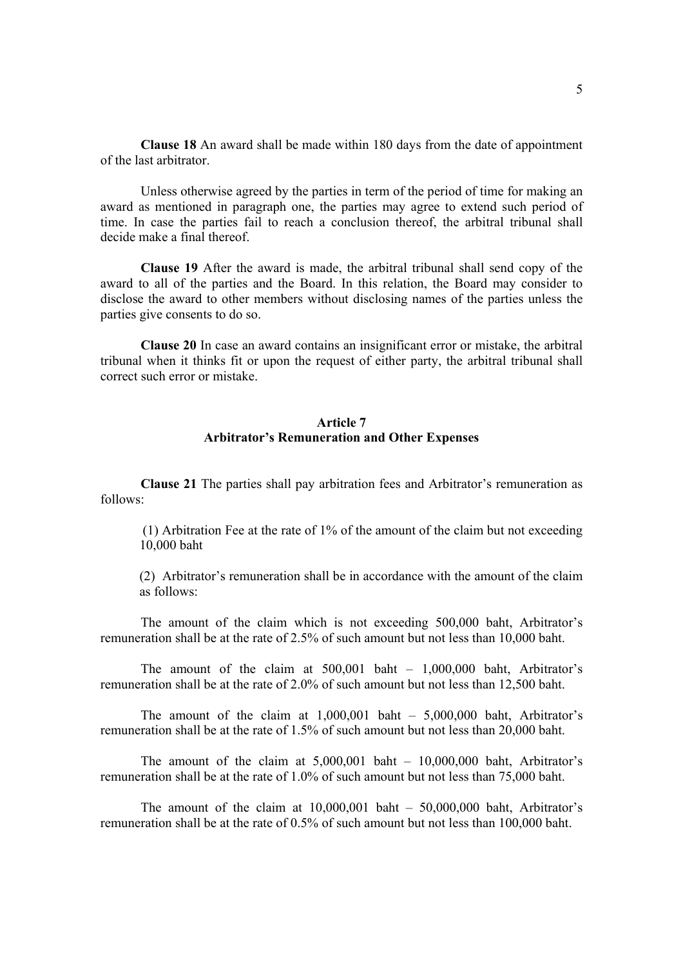**Clause 18** An award shall be made within 180 days from the date of appointment of the last arbitrator.

 Unless otherwise agreed by the parties in term of the period of time for making an award as mentioned in paragraph one, the parties may agree to extend such period of time. In case the parties fail to reach a conclusion thereof, the arbitral tribunal shall decide make a final thereof.

**Clause 19** After the award is made, the arbitral tribunal shall send copy of the award to all of the parties and the Board. In this relation, the Board may consider to disclose the award to other members without disclosing names of the parties unless the parties give consents to do so.

**Clause 20** In case an award contains an insignificant error or mistake, the arbitral tribunal when it thinks fit or upon the request of either party, the arbitral tribunal shall correct such error or mistake.

### **Article 7 Arbitrator's Remuneration and Other Expenses**

 **Clause 21** The parties shall pay arbitration fees and Arbitrator's remuneration as follows:

 (1) Arbitration Fee at the rate of 1% of the amount of the claim but not exceeding 10,000 baht

(2) Arbitrator's remuneration shall be in accordance with the amount of the claim as follows:

 The amount of the claim which is not exceeding 500,000 baht, Arbitrator's remuneration shall be at the rate of 2.5% of such amount but not less than 10,000 baht.

 The amount of the claim at 500,001 baht – 1,000,000 baht, Arbitrator's remuneration shall be at the rate of 2.0% of such amount but not less than 12,500 baht.

 The amount of the claim at 1,000,001 baht – 5,000,000 baht, Arbitrator's remuneration shall be at the rate of 1.5% of such amount but not less than 20,000 baht.

The amount of the claim at  $5,000,001$  baht –  $10,000,000$  baht, Arbitrator's remuneration shall be at the rate of 1.0% of such amount but not less than 75,000 baht.

The amount of the claim at  $10,000,001$  baht –  $50,000,000$  baht, Arbitrator's remuneration shall be at the rate of 0.5% of such amount but not less than 100,000 baht.